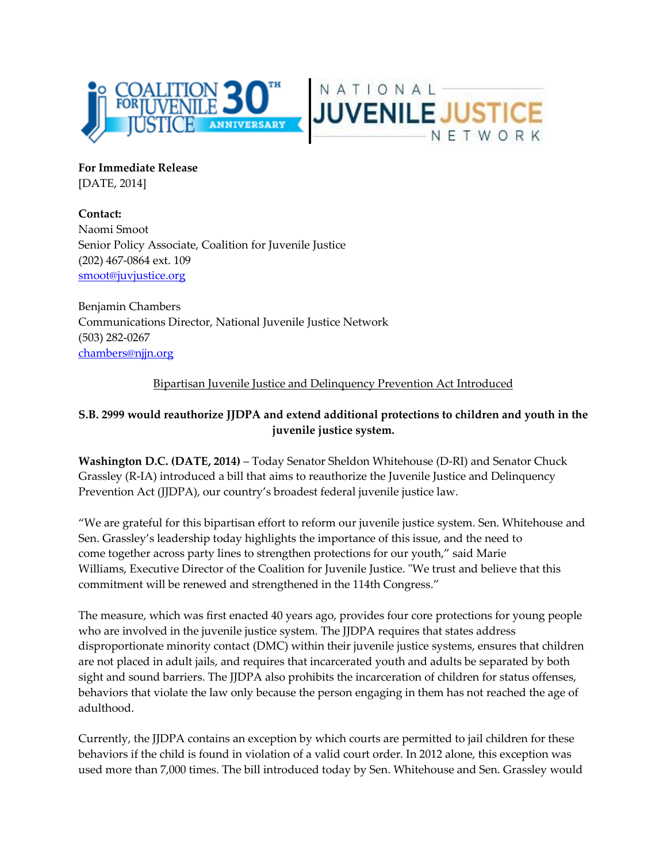



**For Immediate Release** [DATE, 2014]

**Contact:**  Naomi Smoot Senior Policy Associate, Coalition for Juvenile Justice (202) 467-0864 ext. 109 [smoot@juvjustice.org](mailto:smoot@juvjustice.org)

Benjamin Chambers Communications Director, National Juvenile Justice Network (503) 282-0267 [chambers@njjn.org](mailto:chambers@njjn.org)

## Bipartisan Juvenile Justice and Delinquency Prevention Act Introduced

## **S.B. 2999 would reauthorize JJDPA and extend additional protections to children and youth in the juvenile justice system.**

**Washington D.C. (DATE, 2014)** – Today Senator Sheldon Whitehouse (D-RI) and Senator Chuck Grassley (R-IA) introduced a bill that aims to reauthorize the Juvenile Justice and Delinquency Prevention Act (JJDPA), our country's broadest federal juvenile justice law.

"We are grateful for this bipartisan effort to reform our juvenile justice system. Sen. Whitehouse and Sen. Grassley's leadership today highlights the importance of this issue, and the need to come together across party lines to strengthen protections for our youth," said Marie Williams, Executive Director of the Coalition for Juvenile Justice. "We trust and believe that this commitment will be renewed and strengthened in the 114th Congress."

The measure, which was first enacted 40 years ago, provides four core protections for young people who are involved in the juvenile justice system. The JJDPA requires that states address disproportionate minority contact (DMC) within their juvenile justice systems, ensures that children are not placed in adult jails, and requires that incarcerated youth and adults be separated by both sight and sound barriers. The JJDPA also prohibits the incarceration of children for status offenses, behaviors that violate the law only because the person engaging in them has not reached the age of adulthood.

Currently, the JJDPA contains an exception by which courts are permitted to jail children for these behaviors if the child is found in violation of a valid court order. In 2012 alone, this exception was used more than 7,000 times. The bill introduced today by Sen. Whitehouse and Sen. Grassley would